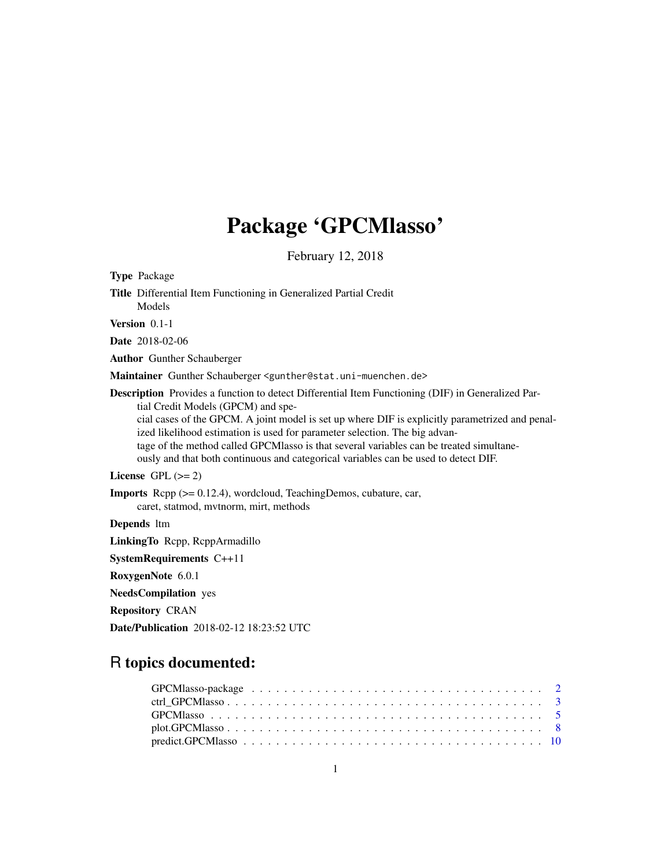# Package 'GPCMlasso'

February 12, 2018

<span id="page-0-0"></span>Type Package Title Differential Item Functioning in Generalized Partial Credit Models Version 0.1-1 Date 2018-02-06 Author Gunther Schauberger Maintainer Gunther Schauberger <gunther@stat.uni-muenchen.de> Description Provides a function to detect Differential Item Functioning (DIF) in Generalized Partial Credit Models (GPCM) and special cases of the GPCM. A joint model is set up where DIF is explicitly parametrized and penalized likelihood estimation is used for parameter selection. The big advantage of the method called GPCMlasso is that several variables can be treated simultaneously and that both continuous and categorical variables can be used to detect DIF. License GPL  $(>= 2)$ Imports Rcpp (>= 0.12.4), wordcloud, TeachingDemos, cubature, car, caret, statmod, mvtnorm, mirt, methods Depends ltm LinkingTo Rcpp, RcppArmadillo SystemRequirements C++11 RoxygenNote 6.0.1 NeedsCompilation yes Repository CRAN Date/Publication 2018-02-12 18:23:52 UTC

# R topics documented: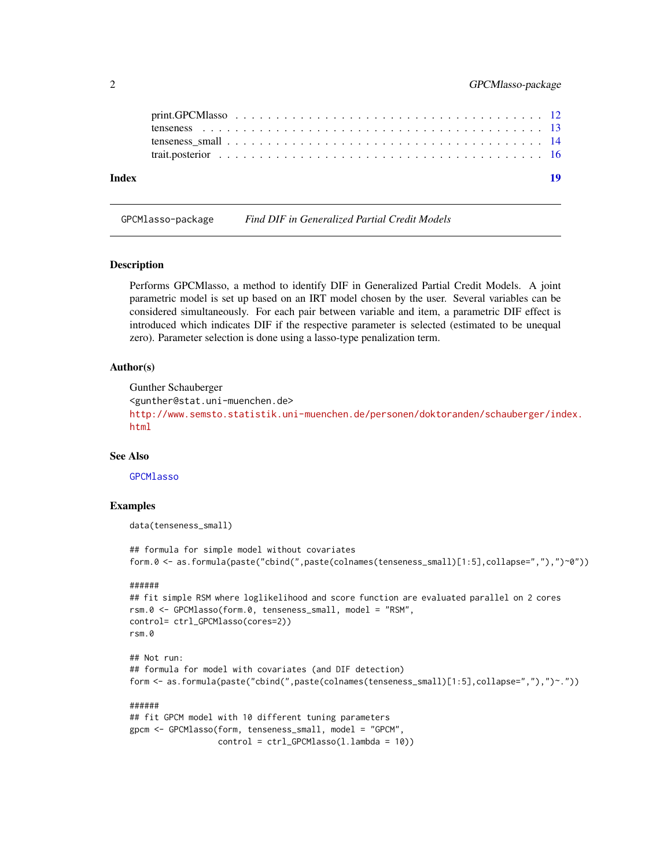<span id="page-1-0"></span>

| Index | -19 |
|-------|-----|
|       |     |
|       |     |
|       |     |
|       |     |

<span id="page-1-1"></span>GPCMlasso-package *Find DIF in Generalized Partial Credit Models*

#### Description

Performs GPCMlasso, a method to identify DIF in Generalized Partial Credit Models. A joint parametric model is set up based on an IRT model chosen by the user. Several variables can be considered simultaneously. For each pair between variable and item, a parametric DIF effect is introduced which indicates DIF if the respective parameter is selected (estimated to be unequal zero). Parameter selection is done using a lasso-type penalization term.

### Author(s)

```
Gunther Schauberger
<gunther@stat.uni-muenchen.de>
http://www.semsto.statistik.uni-muenchen.de/personen/doktoranden/schauberger/index.
html
```
#### See Also

**[GPCMlasso](#page-4-1)** 

# Examples

data(tenseness\_small)

## formula for simple model without covariates form.0 <- as.formula(paste("cbind(",paste(colnames(tenseness\_small)[1:5],collapse=","),")~0"))

```
## fit simple RSM where loglikelihood and score function are evaluated parallel on 2 cores
rsm.0 <- GPCMlasso(form.0, tenseness_small, model = "RSM",
control= ctrl_GPCMlasso(cores=2))
rsm.0
```

```
## Not run:
## formula for model with covariates (and DIF detection)
form <- as.formula(paste("cbind(",paste(colnames(tenseness_small)[1:5],collapse=","),")~."))
```

```
######
## fit GPCM model with 10 different tuning parameters
gpcm <- GPCMlasso(form, tenseness_small, model = "GPCM",
                 control = ctrl_GPCMlasso(l.lambda = 10))
```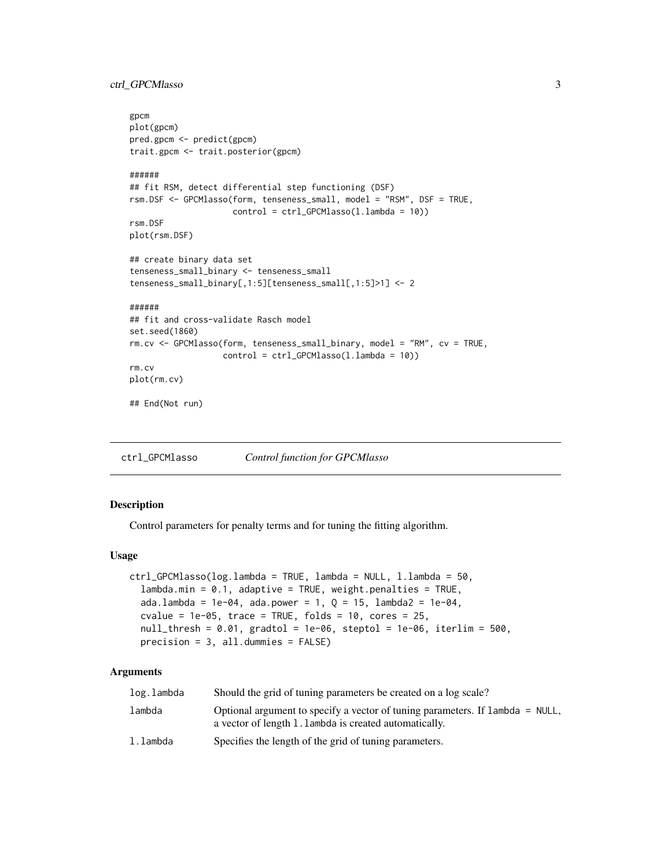<span id="page-2-0"></span>ctrl\_GPCMlasso 3

```
gpcm
plot(gpcm)
pred.gpcm <- predict(gpcm)
trait.gpcm <- trait.posterior(gpcm)
######
## fit RSM, detect differential step functioning (DSF)
rsm.DSF <- GPCMlasso(form, tenseness_small, model = "RSM", DSF = TRUE,
                     control = ctrl_GPCMlasso(l.lambda = 10))
rsm.DSF
plot(rsm.DSF)
## create binary data set
tenseness_small_binary <- tenseness_small
tenseness_small_binary[,1:5][tenseness_small[,1:5]>1] <- 2
######
## fit and cross-validate Rasch model
set.seed(1860)
rm.cv <- GPCMlasso(form, tenseness_small_binary, model = "RM", cv = TRUE,
                   control = ctrl_GPCMlasso(l.lambda = 10))
rm.cv
plot(rm.cv)
## End(Not run)
```
<span id="page-2-1"></span>ctrl\_GPCMlasso *Control function for GPCMlasso*

# Description

Control parameters for penalty terms and for tuning the fitting algorithm.

#### Usage

```
ctrl_GPCMlasso(log.lambda = TRUE, lambda = NULL, l.lambda = 50,
  lambda.min = 0.1, adaptive = TRUE, weight.penalties = TRUE,
  ada.lambda = 1e-04, ada.power = 1, Q = 15, lambda2 = 1e-04,
  cvalue = 1e-05, trace = TRUE, folds = 10, cores = 25,
  null_{\text{th}} = 0.01, gradtol = 1e-06, steptol = 1e-06, iterlim = 500,
  precision = 3, all.dummies = FALSE)
```
# **Arguments**

| log.lambda | Should the grid of tuning parameters be created on a log scale?                                                                         |
|------------|-----------------------------------------------------------------------------------------------------------------------------------------|
| lambda     | Optional argument to specify a vector of tuning parameters. If lambda = NULL,<br>a vector of length 1.1 ambda is created automatically. |
| l.lambda   | Specifies the length of the grid of tuning parameters.                                                                                  |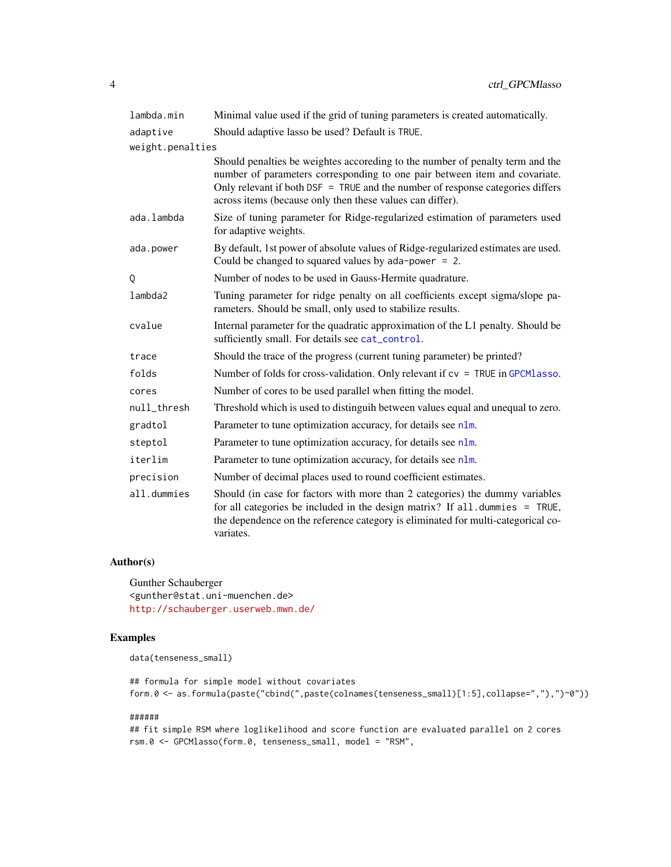<span id="page-3-0"></span>

| lambda.min       | Minimal value used if the grid of tuning parameters is created automatically.                                                                                                                                                                                                                              |
|------------------|------------------------------------------------------------------------------------------------------------------------------------------------------------------------------------------------------------------------------------------------------------------------------------------------------------|
| adaptive         | Should adaptive lasso be used? Default is TRUE.                                                                                                                                                                                                                                                            |
| weight.penalties |                                                                                                                                                                                                                                                                                                            |
|                  | Should penalties be weightes accoreding to the number of penalty term and the<br>number of parameters corresponding to one pair between item and covariate.<br>Only relevant if both DSF = TRUE and the number of response categories differs<br>across items (because only then these values can differ). |
| ada.lambda       | Size of tuning parameter for Ridge-regularized estimation of parameters used<br>for adaptive weights.                                                                                                                                                                                                      |
| ada.power        | By default, 1st power of absolute values of Ridge-regularized estimates are used.<br>Could be changed to squared values by $ada-power = 2$ .                                                                                                                                                               |
| Q                | Number of nodes to be used in Gauss-Hermite quadrature.                                                                                                                                                                                                                                                    |
| lambda2          | Tuning parameter for ridge penalty on all coefficients except sigma/slope pa-<br>rameters. Should be small, only used to stabilize results.                                                                                                                                                                |
| cvalue           | Internal parameter for the quadratic approximation of the L1 penalty. Should be<br>sufficiently small. For details see cat_control.                                                                                                                                                                        |
| trace            | Should the trace of the progress (current tuning parameter) be printed?                                                                                                                                                                                                                                    |
| folds            | Number of folds for cross-validation. Only relevant if $cv = TRUE$ in GPCM lasso.                                                                                                                                                                                                                          |
| cores            | Number of cores to be used parallel when fitting the model.                                                                                                                                                                                                                                                |
| null_thresh      | Threshold which is used to distinguih between values equal and unequal to zero.                                                                                                                                                                                                                            |
| gradtol          | Parameter to tune optimization accuracy, for details see nlm.                                                                                                                                                                                                                                              |
| steptol          | Parameter to tune optimization accuracy, for details see nlm.                                                                                                                                                                                                                                              |
| iterlim          | Parameter to tune optimization accuracy, for details see nlm.                                                                                                                                                                                                                                              |
| precision        | Number of decimal places used to round coefficient estimates.                                                                                                                                                                                                                                              |
| all.dummies      | Should (in case for factors with more than 2 categories) the dummy variables<br>for all categories be included in the design matrix? If all.dummies = TRUE,<br>the dependence on the reference category is eliminated for multi-categorical co-<br>variates.                                               |

# Author(s)

Gunther Schauberger <gunther@stat.uni-muenchen.de> <http://schauberger.userweb.mwn.de/>

# Examples

data(tenseness\_small)

## formula for simple model without covariates form.0 <- as.formula(paste("cbind(",paste(colnames(tenseness\_small)[1:5],collapse=","),")~0"))

#### ######

## fit simple RSM where loglikelihood and score function are evaluated parallel on 2 cores rsm.0 <- GPCMlasso(form.0, tenseness\_small, model = "RSM",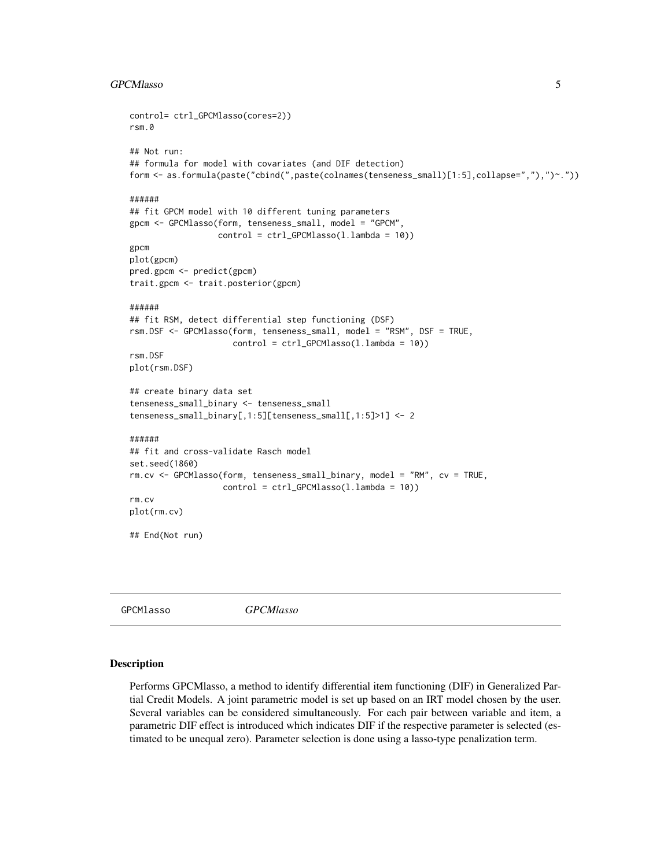#### <span id="page-4-0"></span>GPCMlasso 5

```
control= ctrl_GPCMlasso(cores=2))
rsm.0
## Not run:
## formula for model with covariates (and DIF detection)
form <- as.formula(paste("cbind(",paste(colnames(tenseness_small)[1:5],collapse=","),")~."))
######
## fit GPCM model with 10 different tuning parameters
gpcm <- GPCMlasso(form, tenseness_small, model = "GPCM",
                  control = ctrl_GPCMlasso(l.lambda = 10))
gpcm
plot(gpcm)
pred.gpcm <- predict(gpcm)
trait.gpcm <- trait.posterior(gpcm)
######
## fit RSM, detect differential step functioning (DSF)
rsm.DSF <- GPCMlasso(form, tenseness_small, model = "RSM", DSF = TRUE,
                     control = ctrl_GPCMlasso(l.lambda = 10))
rsm.DSF
plot(rsm.DSF)
## create binary data set
tenseness_small_binary <- tenseness_small
tenseness_small_binary[,1:5][tenseness_small[,1:5]>1] <- 2
######
## fit and cross-validate Rasch model
set.seed(1860)
rm.cv <- GPCMlasso(form, tenseness_small_binary, model = "RM", cv = TRUE,
                   control = ctrl_GPCMlasso(l.lambda = 10))
rm.cv
plot(rm.cv)
## End(Not run)
```
<span id="page-4-1"></span>GPCMlasso *GPCMlasso*

#### Description

Performs GPCMlasso, a method to identify differential item functioning (DIF) in Generalized Partial Credit Models. A joint parametric model is set up based on an IRT model chosen by the user. Several variables can be considered simultaneously. For each pair between variable and item, a parametric DIF effect is introduced which indicates DIF if the respective parameter is selected (estimated to be unequal zero). Parameter selection is done using a lasso-type penalization term.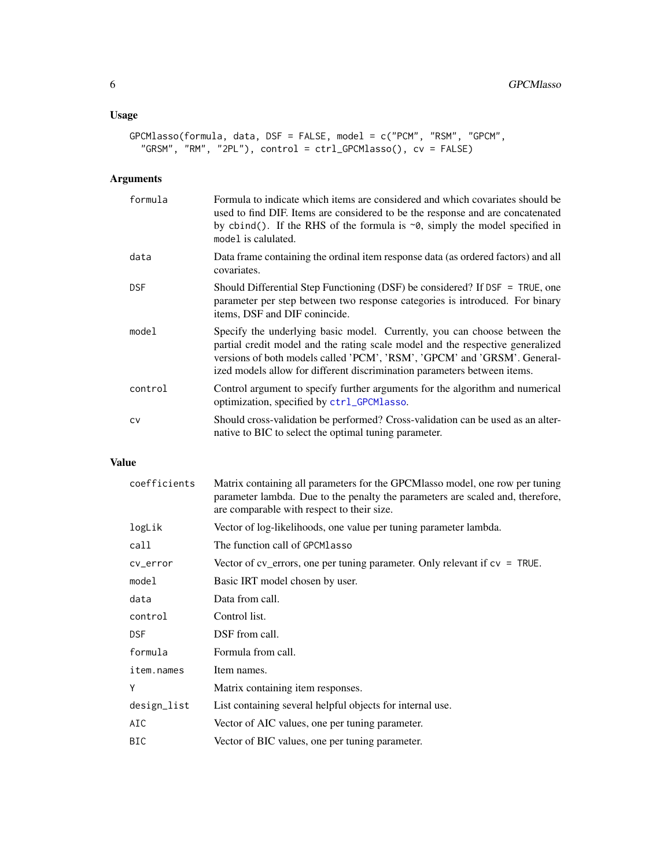# <span id="page-5-0"></span>Usage

```
GPCMlasso(formula, data, DSF = FALSE, model = c("PCM", "RSM", "GPCM",
  "GRSM", "RM", "2PL"), control = ctrl_GPCMlasso(), cv = FALSE)
```
# Arguments

| formula    | Formula to indicate which items are considered and which covariates should be<br>used to find DIF. Items are considered to be the response and are concatenated<br>by cbind(). If the RHS of the formula is $\sim$ 0, simply the model specified in<br>model is calulated.                                          |
|------------|---------------------------------------------------------------------------------------------------------------------------------------------------------------------------------------------------------------------------------------------------------------------------------------------------------------------|
| data       | Data frame containing the ordinal item response data (as ordered factors) and all<br>covariates.                                                                                                                                                                                                                    |
| <b>DSF</b> | Should Differential Step Functioning (DSF) be considered? If DSF = TRUE, one<br>parameter per step between two response categories is introduced. For binary<br>items, DSF and DIF conincide.                                                                                                                       |
| model      | Specify the underlying basic model. Currently, you can choose between the<br>partial credit model and the rating scale model and the respective generalized<br>versions of both models called 'PCM', 'RSM', 'GPCM' and 'GRSM'. General-<br>ized models allow for different discrimination parameters between items. |
| control    | Control argument to specify further arguments for the algorithm and numerical<br>optimization, specified by ctrl_GPCMlasso.                                                                                                                                                                                         |
| <b>CV</b>  | Should cross-validation be performed? Cross-validation can be used as an alter-<br>native to BIC to select the optimal tuning parameter.                                                                                                                                                                            |

# Value

| coefficients | Matrix containing all parameters for the GPCMlasso model, one row per tuning<br>parameter lambda. Due to the penalty the parameters are scaled and, therefore,<br>are comparable with respect to their size. |
|--------------|--------------------------------------------------------------------------------------------------------------------------------------------------------------------------------------------------------------|
| logLik       | Vector of log-likelihoods, one value per tuning parameter lambda.                                                                                                                                            |
| call         | The function call of GPCMlasso                                                                                                                                                                               |
| cv_error     | Vector of cv_errors, one per tuning parameter. Only relevant if $cv = TRUE$ .                                                                                                                                |
| model        | Basic IRT model chosen by user.                                                                                                                                                                              |
| data         | Data from call.                                                                                                                                                                                              |
| control      | Control list.                                                                                                                                                                                                |
| <b>DSF</b>   | DSF from call.                                                                                                                                                                                               |
| formula      | Formula from call.                                                                                                                                                                                           |
| item.names   | Item names.                                                                                                                                                                                                  |
| Υ            | Matrix containing item responses.                                                                                                                                                                            |
| design_list  | List containing several helpful objects for internal use.                                                                                                                                                    |
| AIC          | Vector of AIC values, one per tuning parameter.                                                                                                                                                              |
| BIC          | Vector of BIC values, one per tuning parameter.                                                                                                                                                              |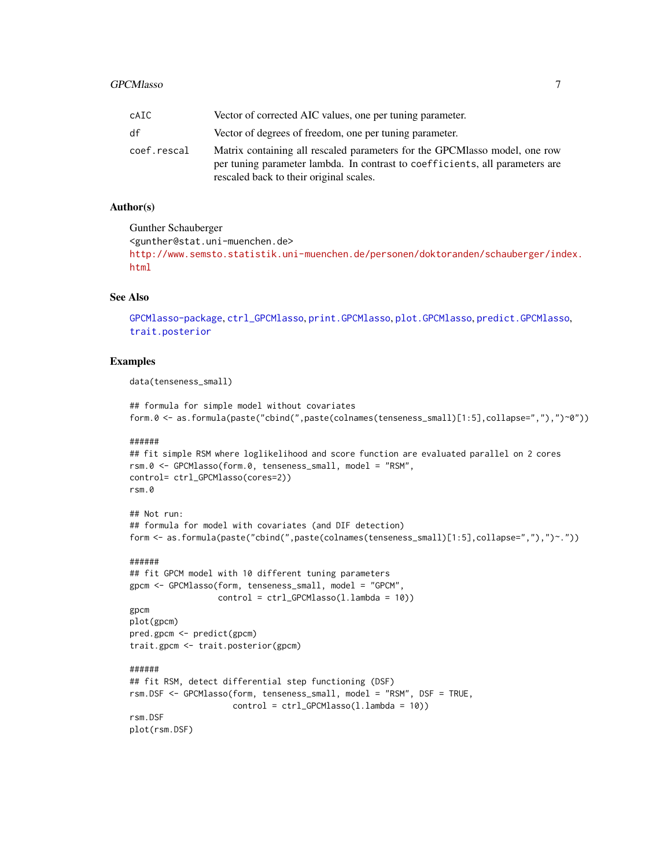#### <span id="page-6-0"></span>GPCMlasso 2012 2022 12:00:00 20:00 20:00 20:00 20:00 20:00 20:00 20:00 20:00 20:00 20:00 20:00 20:00 20:00 20:00 20:00 20:00 20:00 20:00 20:00 20:00 20:00 20:00 20:00 20:00 20:00 20:00 20:00 20:00 20:00 20:00 20:00 20:00 2

| cAIC.       | Vector of corrected AIC values, one per tuning parameter.                                                                                                                                             |
|-------------|-------------------------------------------------------------------------------------------------------------------------------------------------------------------------------------------------------|
| df          | Vector of degrees of freedom, one per tuning parameter.                                                                                                                                               |
| coef.rescal | Matrix containing all rescaled parameters for the GPCMlasso model, one row<br>per tuning parameter lambda. In contrast to coefficients, all parameters are<br>rescaled back to their original scales. |

#### Author(s)

Gunther Schauberger <gunther@stat.uni-muenchen.de> [http://www.semsto.statistik.uni-muenchen.de/personen/doktoranden/schauberger/ind](http://www.semsto.statistik.uni-muenchen.de/personen/doktoranden/schauberger/index.html)ex. [html](http://www.semsto.statistik.uni-muenchen.de/personen/doktoranden/schauberger/index.html)

# See Also

[GPCMlasso-package](#page-1-1), [ctrl\\_GPCMlasso](#page-2-1), [print.GPCMlasso](#page-11-1), [plot.GPCMlasso](#page-7-1), [predict.GPCMlasso](#page-9-1), [trait.posterior](#page-15-1)

# Examples

data(tenseness\_small)

```
## formula for simple model without covariates
form.0 <- as.formula(paste("cbind(",paste(colnames(tenseness_small)[1:5],collapse=","),")~0"))
```
#### ######

```
## fit simple RSM where loglikelihood and score function are evaluated parallel on 2 cores
rsm.0 <- GPCMlasso(form.0, tenseness_small, model = "RSM",
control= ctrl_GPCMlasso(cores=2))
rsm.0
```
# ## Not run:

```
## formula for model with covariates (and DIF detection)
form <- as.formula(paste("cbind(",paste(colnames(tenseness_small)[1:5],collapse=","),")~."))
```

```
## fit GPCM model with 10 different tuning parameters
gpcm <- GPCMlasso(form, tenseness_small, model = "GPCM",
                  control = \text{ctrl_GPCMlasso}(1.lengthambda = 10))
gpcm
plot(gpcm)
pred.gpcm <- predict(gpcm)
trait.gpcm <- trait.posterior(gpcm)
######
## fit RSM, detect differential step functioning (DSF)
rsm.DSF <- GPCMlasso(form, tenseness_small, model = "RSM", DSF = TRUE,
                     control = ctrl_GPCMlasso(l.lambda = 10))
rsm.DSF
plot(rsm.DSF)
```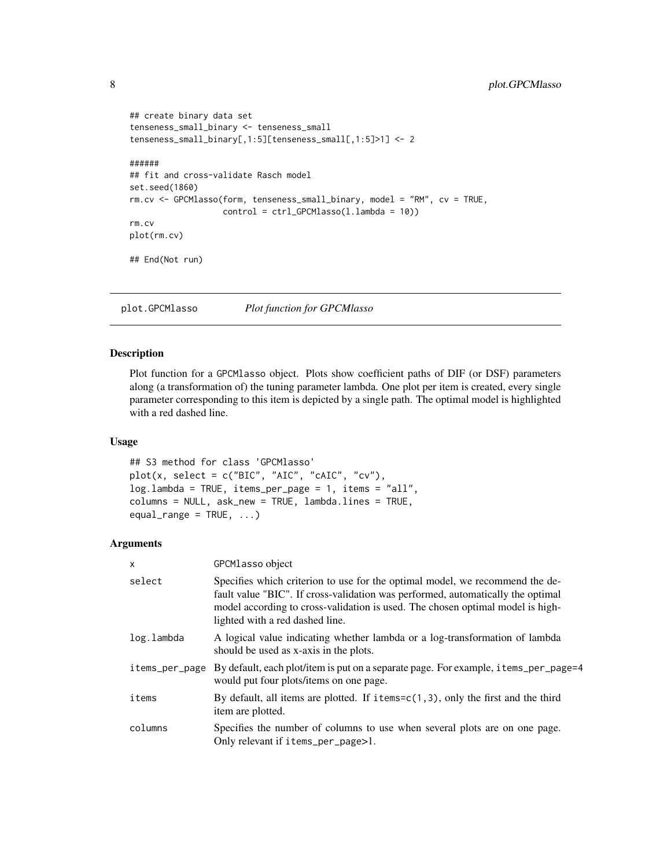```
## create binary data set
tenseness_small_binary <- tenseness_small
tenseness_small_binary[,1:5][tenseness_small[,1:5]>1] <- 2
######
## fit and cross-validate Rasch model
set.seed(1860)
rm.cv <- GPCMlasso(form, tenseness_small_binary, model = "RM", cv = TRUE,
                   control = ctrl_GPCMlasso(l.lambda = 10))
rm.cv
plot(rm.cv)
## End(Not run)
```
<span id="page-7-1"></span>plot.GPCMlasso *Plot function for GPCMlasso*

# Description

Plot function for a GPCMlasso object. Plots show coefficient paths of DIF (or DSF) parameters along (a transformation of) the tuning parameter lambda. One plot per item is created, every single parameter corresponding to this item is depicted by a single path. The optimal model is highlighted with a red dashed line.

#### Usage

```
## S3 method for class 'GPCMlasso'
plot(x, select = c("BIC", "AIC", "cAIC", "cV"),log.lambda = TRUE, items_per_page = 1, items = "all",
columns = NULL, ask_new = TRUE, lambda.lines = TRUE,
equal_range = TRUE, ...)
```
### **Arguments**

| X              | GPCMlasso object                                                                                                                                                                                                                                                                     |
|----------------|--------------------------------------------------------------------------------------------------------------------------------------------------------------------------------------------------------------------------------------------------------------------------------------|
| select         | Specifies which criterion to use for the optimal model, we recommend the de-<br>fault value "BIC". If cross-validation was performed, automatically the optimal<br>model according to cross-validation is used. The chosen optimal model is high-<br>lighted with a red dashed line. |
| log.lambda     | A logical value indicating whether lambda or a log-transformation of lambda<br>should be used as x-axis in the plots.                                                                                                                                                                |
| items_per_page | By default, each plot/item is put on a separate page. For example, i tems_per_page=4<br>would put four plots/items on one page.                                                                                                                                                      |
| items          | By default, all items are plotted. If $i$ tems=c(1,3), only the first and the third<br>item are plotted.                                                                                                                                                                             |
| columns        | Specifies the number of columns to use when several plots are on one page.<br>Only relevant if items_per_page>1.                                                                                                                                                                     |

<span id="page-7-0"></span>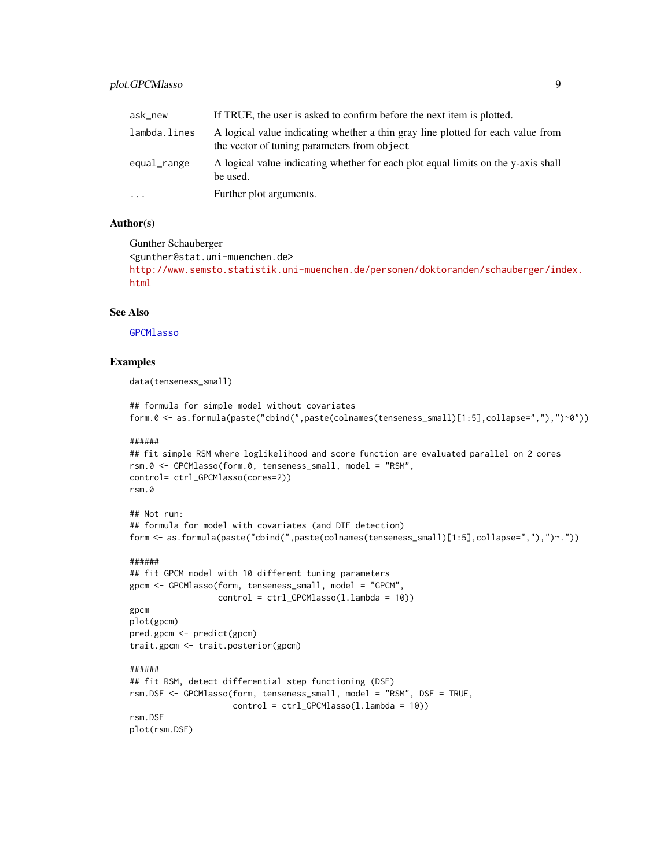# <span id="page-8-0"></span>plot.GPCMlasso 9

| ask_new      | If TRUE, the user is asked to confirm before the next item is plotted.                                                         |
|--------------|--------------------------------------------------------------------------------------------------------------------------------|
| lambda.lines | A logical value indicating whether a thin gray line plotted for each value from<br>the vector of tuning parameters from object |
| equal_range  | A logical value indicating whether for each plot equal limits on the y-axis shall<br>be used.                                  |
| $\cdot$      | Further plot arguments.                                                                                                        |

# Author(s)

Gunther Schauberger

```
<gunther@stat.uni-muenchen.de>
http://www.semsto.statistik.uni-muenchen.de/personen/doktoranden/schauberger/index.
html
```
# See Also

[GPCMlasso](#page-4-1)

# Examples

data(tenseness\_small)

```
## formula for simple model without covariates
form.0 <- as.formula(paste("cbind(",paste(colnames(tenseness_small)[1:5],collapse=","),")~0"))
```
#### ######

```
## fit simple RSM where loglikelihood and score function are evaluated parallel on 2 cores
rsm.0 <- GPCMlasso(form.0, tenseness_small, model = "RSM",
control= ctrl_GPCMlasso(cores=2))
rsm.0
```
# ## Not run:

```
## formula for model with covariates (and DIF detection)
form <- as.formula(paste("cbind(",paste(colnames(tenseness_small)[1:5],collapse=","),")~."))
```

```
## fit GPCM model with 10 different tuning parameters
gpcm <- GPCMlasso(form, tenseness_small, model = "GPCM",
                  control = \text{ctrl_GPCMlasso}(1.lengthambda = 10))
gpcm
plot(gpcm)
pred.gpcm <- predict(gpcm)
trait.gpcm <- trait.posterior(gpcm)
######
## fit RSM, detect differential step functioning (DSF)
rsm.DSF <- GPCMlasso(form, tenseness_small, model = "RSM", DSF = TRUE,
                     control = ctrl_GPCMlasso(l.lambda = 10))
rsm.DSF
plot(rsm.DSF)
```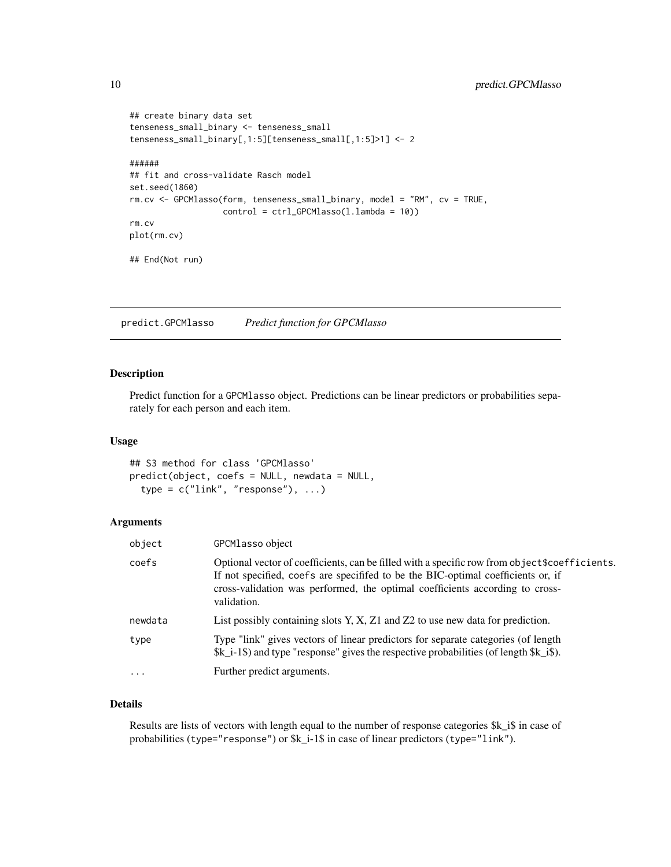```
## create binary data set
tenseness_small_binary <- tenseness_small
tenseness_small_binary[,1:5][tenseness_small[,1:5]>1] <- 2
######
## fit and cross-validate Rasch model
set.seed(1860)
rm.cv <- GPCMlasso(form, tenseness_small_binary, model = "RM", cv = TRUE,
                   control = ctrl_GPCMlasso(l.lambda = 10))
rm.cv
plot(rm.cv)
## End(Not run)
```
<span id="page-9-1"></span>predict.GPCMlasso *Predict function for GPCMlasso*

# Description

Predict function for a GPCMlasso object. Predictions can be linear predictors or probabilities separately for each person and each item.

#### Usage

## S3 method for class 'GPCMlasso' predict(object, coefs = NULL, newdata = NULL,  $type = c("link", "response"), ...)$ 

# Arguments

| object   | GPCMlasso object                                                                                                                                                                                                                                                                 |
|----------|----------------------------------------------------------------------------------------------------------------------------------------------------------------------------------------------------------------------------------------------------------------------------------|
| coefs    | Optional vector of coefficients, can be filled with a specific row from object \$coefficients.<br>If not specified, coefs are specified to be the BIC-optimal coefficients or, if<br>cross-validation was performed, the optimal coefficients according to cross-<br>validation. |
| newdata  | List possibly containing slots Y, X, Z1 and Z2 to use new data for prediction.                                                                                                                                                                                                   |
| type     | Type "link" gives vectors of linear predictors for separate categories (of length<br>$k_i = 1$ and type "response" gives the respective probabilities (of length $k_i$ is).                                                                                                      |
| $\cdots$ | Further predict arguments.                                                                                                                                                                                                                                                       |

# Details

Results are lists of vectors with length equal to the number of response categories \$k\_i\$ in case of probabilities (type="response") or \$k\_i-1\$ in case of linear predictors (type="link").

<span id="page-9-0"></span>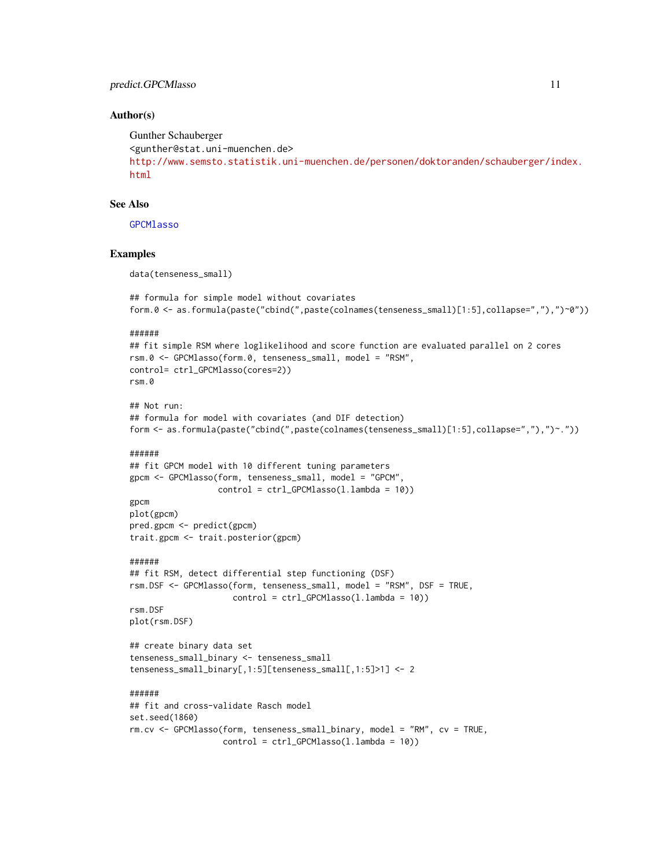#### <span id="page-10-0"></span>predict.GPCMlasso 11

### Author(s)

```
Gunther Schauberger
<gunther@stat.uni-muenchen.de>
http://www.semsto.statistik.uni-muenchen.de/personen/doktoranden/schauberger/index.
html
```
# See Also

**[GPCMlasso](#page-4-1)** 

#### Examples

data(tenseness\_small)

```
## formula for simple model without covariates
form.0 <- as.formula(paste("cbind(",paste(colnames(tenseness_small)[1:5],collapse=","),")~0"))
```
#### ######

```
## fit simple RSM where loglikelihood and score function are evaluated parallel on 2 cores
rsm.0 <- GPCMlasso(form.0, tenseness_small, model = "RSM",
control= ctrl_GPCMlasso(cores=2))
rsm.0
```

```
## Not run:
## formula for model with covariates (and DIF detection)
form <- as.formula(paste("cbind(",paste(colnames(tenseness_small)[1:5],collapse=","),")~."))
```
#### ######

```
## fit GPCM model with 10 different tuning parameters
gpcm <- GPCMlasso(form, tenseness_small, model = "GPCM",
                  control = ctrl_GPCMlasso(l.lambda = 10))
```

```
gpcm
plot(gpcm)
pred.gpcm <- predict(gpcm)
trait.gpcm <- trait.posterior(gpcm)
```
#### ######

```
## fit RSM, detect differential step functioning (DSF)
rsm.DSF <- GPCMlasso(form, tenseness_small, model = "RSM", DSF = TRUE,
                      control = \text{ctrl_GPCMlasso}(1.lengthambda = 10))
rsm.DSF
```

```
plot(rsm.DSF)
```

```
## create binary data set
tenseness_small_binary <- tenseness_small
tenseness_small_binary[,1:5][tenseness_small[,1:5]>1] <- 2
```

```
## fit and cross-validate Rasch model
set.seed(1860)
rm.cv <- GPCMlasso(form, tenseness_small_binary, model = "RM", cv = TRUE,
                   control = ctrl_GPCMlasso(l.lambda = 10))
```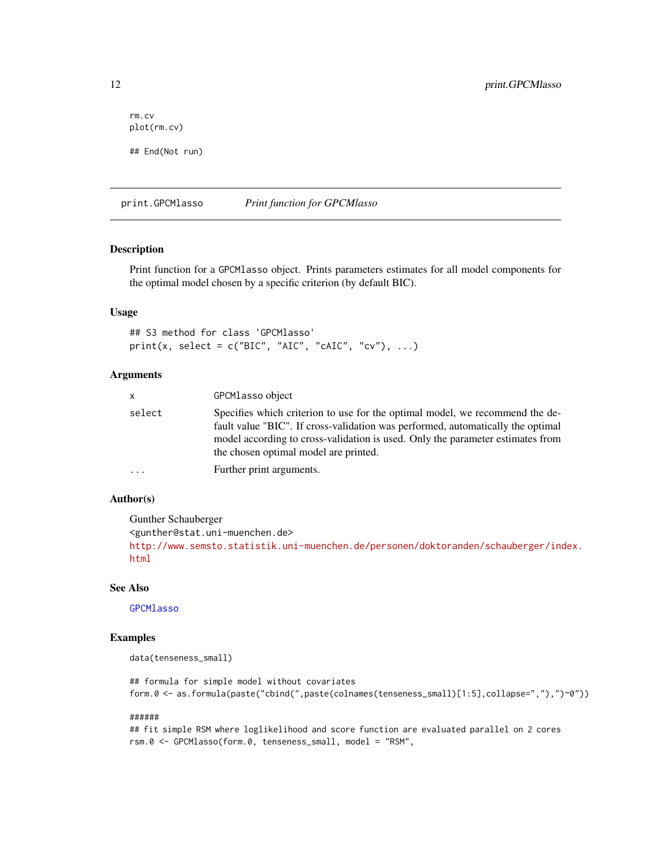```
rm.cv
plot(rm.cv)
## End(Not run)
```
<span id="page-11-1"></span>print.GPCMlasso *Print function for GPCMlasso*

# Description

Print function for a GPCMlasso object. Prints parameters estimates for all model components for the optimal model chosen by a specific criterion (by default BIC).

# Usage

```
## S3 method for class 'GPCMlasso'
print(x, select = c("BIC", "AIC", "cAIC", "cv"), ...)
```
### Arguments

| <b>X</b> | GPCMlasso object                                                                                                                                                                                                                                                                           |
|----------|--------------------------------------------------------------------------------------------------------------------------------------------------------------------------------------------------------------------------------------------------------------------------------------------|
| select   | Specifies which criterion to use for the optimal model, we recommend the de-<br>fault value "BIC". If cross-validation was performed, automatically the optimal<br>model according to cross-validation is used. Only the parameter estimates from<br>the chosen optimal model are printed. |
| .        | Further print arguments.                                                                                                                                                                                                                                                                   |
|          |                                                                                                                                                                                                                                                                                            |

# Author(s)

Gunther Schauberger <gunther@stat.uni-muenchen.de> [http://www.semsto.statistik.uni-muenchen.de/personen/doktoranden/schauberger/ind](http://www.semsto.statistik.uni-muenchen.de/personen/doktoranden/schauberger/index.html)ex. [html](http://www.semsto.statistik.uni-muenchen.de/personen/doktoranden/schauberger/index.html)

# See Also

### [GPCMlasso](#page-4-1)

### Examples

```
data(tenseness_small)
```
## formula for simple model without covariates form.0 <- as.formula(paste("cbind(",paste(colnames(tenseness\_small)[1:5],collapse=","),")~0"))

#### ######

## fit simple RSM where loglikelihood and score function are evaluated parallel on 2 cores rsm.0 <- GPCMlasso(form.0, tenseness\_small, model = "RSM",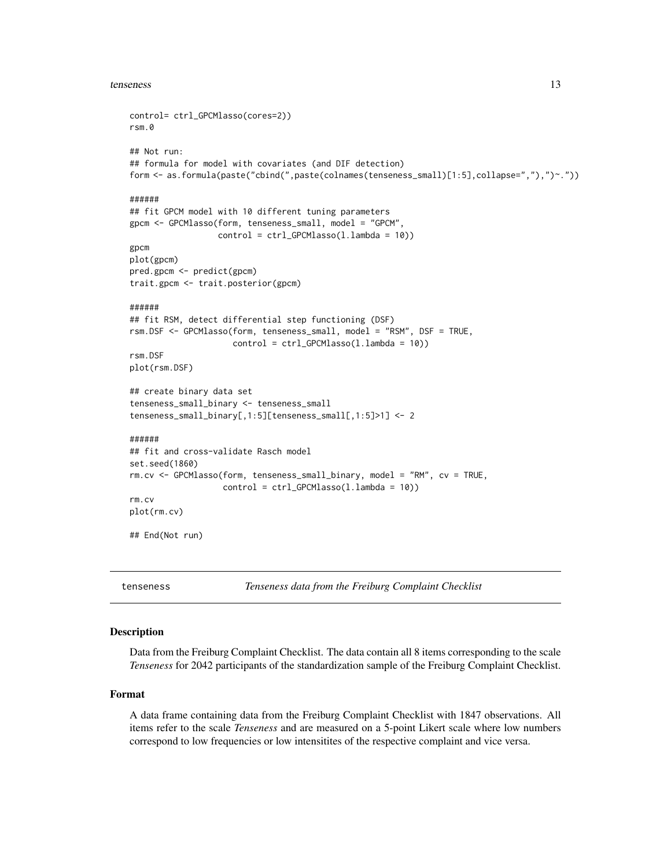#### <span id="page-12-0"></span>tenseness 13

```
control= ctrl_GPCMlasso(cores=2))
rsm.0
## Not run:
## formula for model with covariates (and DIF detection)
form <- as.formula(paste("cbind(",paste(colnames(tenseness_small)[1:5],collapse=","),")~."))
######
## fit GPCM model with 10 different tuning parameters
gpcm <- GPCMlasso(form, tenseness_small, model = "GPCM",
                  control = ctrl_GPCMlasso(l.lambda = 10))
gpcm
plot(gpcm)
pred.gpcm <- predict(gpcm)
trait.gpcm <- trait.posterior(gpcm)
######
## fit RSM, detect differential step functioning (DSF)
rsm.DSF <- GPCMlasso(form, tenseness_small, model = "RSM", DSF = TRUE,
                     control = ctrl_GPCMlasso(l.lambda = 10))
rsm.DSF
plot(rsm.DSF)
## create binary data set
tenseness_small_binary <- tenseness_small
tenseness_small_binary[,1:5][tenseness_small[,1:5]>1] <- 2
######
## fit and cross-validate Rasch model
set.seed(1860)
rm.cv <- GPCMlasso(form, tenseness_small_binary, model = "RM", cv = TRUE,
                   control = ctrl_GPCMlasso(l.lambda = 10))
rm.cv
plot(rm.cv)
## End(Not run)
```
<span id="page-12-1"></span>tenseness *Tenseness data from the Freiburg Complaint Checklist*

# **Description**

Data from the Freiburg Complaint Checklist. The data contain all 8 items corresponding to the scale *Tenseness* for 2042 participants of the standardization sample of the Freiburg Complaint Checklist.

### Format

A data frame containing data from the Freiburg Complaint Checklist with 1847 observations. All items refer to the scale *Tenseness* and are measured on a 5-point Likert scale where low numbers correspond to low frequencies or low intensitites of the respective complaint and vice versa.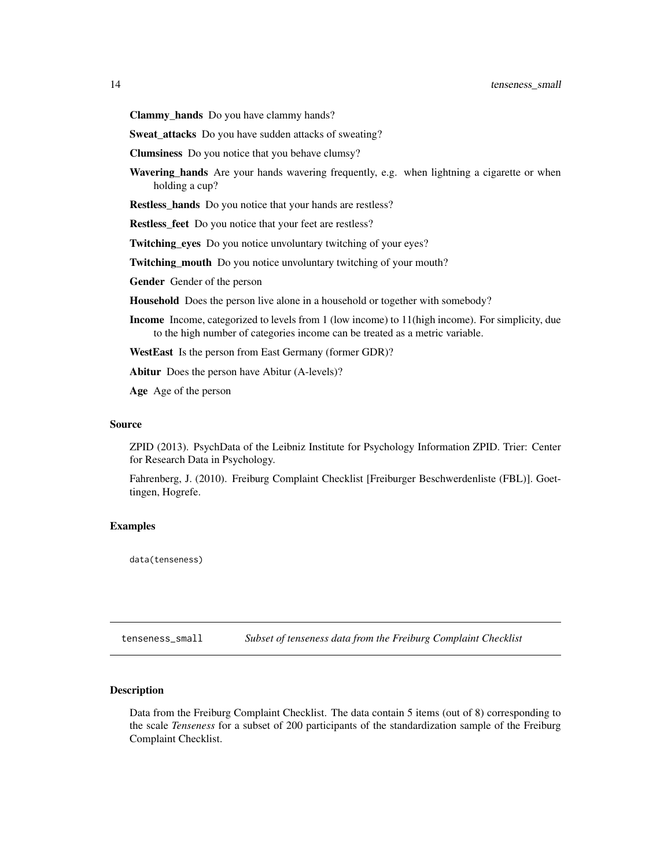<span id="page-13-0"></span>Clammy\_hands Do you have clammy hands?

Sweat\_attacks Do you have sudden attacks of sweating?

Clumsiness Do you notice that you behave clumsy?

Wavering\_hands Are your hands wavering frequently, e.g. when lightning a cigarette or when holding a cup?

Restless\_hands Do you notice that your hands are restless?

Restless\_feet Do you notice that your feet are restless?

Twitching\_eyes Do you notice unvoluntary twitching of your eyes?

Twitching\_mouth Do you notice unvoluntary twitching of your mouth?

Gender Gender of the person

Household Does the person live alone in a household or together with somebody?

- Income Income, categorized to levels from 1 (low income) to 11(high income). For simplicity, due to the high number of categories income can be treated as a metric variable.
- WestEast Is the person from East Germany (former GDR)?

Abitur Does the person have Abitur (A-levels)?

Age Age of the person

#### Source

ZPID (2013). PsychData of the Leibniz Institute for Psychology Information ZPID. Trier: Center for Research Data in Psychology.

Fahrenberg, J. (2010). Freiburg Complaint Checklist [Freiburger Beschwerdenliste (FBL)]. Goettingen, Hogrefe.

#### Examples

data(tenseness)

tenseness\_small *Subset of tenseness data from the Freiburg Complaint Checklist*

### Description

Data from the Freiburg Complaint Checklist. The data contain 5 items (out of 8) corresponding to the scale *Tenseness* for a subset of 200 participants of the standardization sample of the Freiburg Complaint Checklist.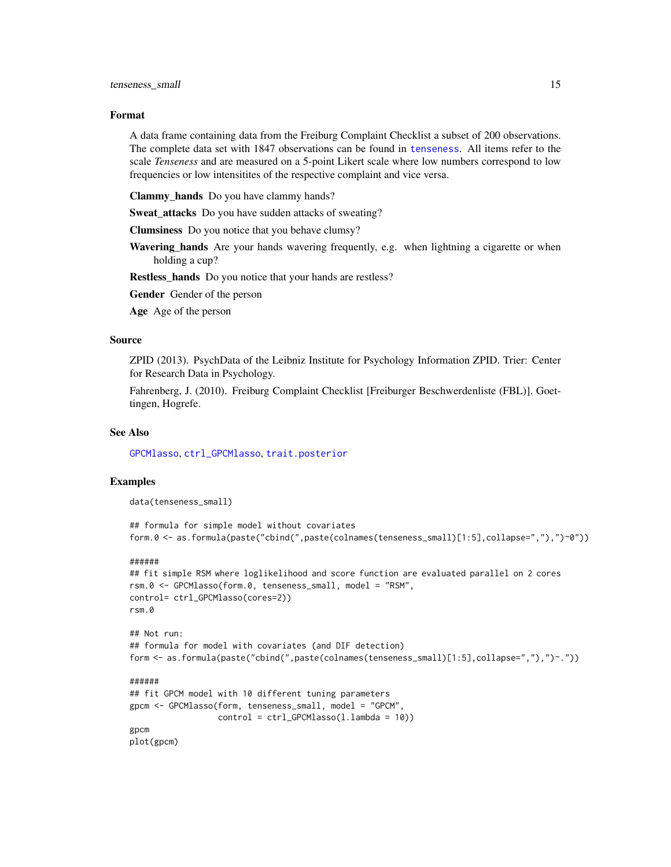#### <span id="page-14-0"></span>Format

A data frame containing data from the Freiburg Complaint Checklist a subset of 200 observations. The complete data set with 1847 observations can be found in [tenseness](#page-12-1). All items refer to the scale *Tenseness* and are measured on a 5-point Likert scale where low numbers correspond to low frequencies or low intensitites of the respective complaint and vice versa.

Clammy\_hands Do you have clammy hands?

Sweat attacks Do you have sudden attacks of sweating?

Clumsiness Do you notice that you behave clumsy?

Wavering\_hands Are your hands wavering frequently, e.g. when lightning a cigarette or when holding a cup?

Restless\_hands Do you notice that your hands are restless?

Gender Gender of the person

Age Age of the person

#### Source

ZPID (2013). PsychData of the Leibniz Institute for Psychology Information ZPID. Trier: Center for Research Data in Psychology.

Fahrenberg, J. (2010). Freiburg Complaint Checklist [Freiburger Beschwerdenliste (FBL)]. Goettingen, Hogrefe.

# See Also

[GPCMlasso](#page-4-1), [ctrl\\_GPCMlasso](#page-2-1), [trait.posterior](#page-15-1)

#### Examples

data(tenseness\_small)

```
## formula for simple model without covariates
form.0 <- as.formula(paste("cbind(",paste(colnames(tenseness_small)[1:5],collapse=","),")~0"))
```
#### ######

```
## fit simple RSM where loglikelihood and score function are evaluated parallel on 2 cores
rsm.0 <- GPCMlasso(form.0, tenseness_small, model = "RSM",
control= ctrl_GPCMlasso(cores=2))
rsm.0
```

```
## Not run:
## formula for model with covariates (and DIF detection)
form <- as.formula(paste("cbind(",paste(colnames(tenseness_small)[1:5],collapse=","),")~."))
```

```
## fit GPCM model with 10 different tuning parameters
gpcm <- GPCMlasso(form, tenseness_small, model = "GPCM",
                  control = ctrl_GPCMlasso(l.lambda = 10))
gpcm
plot(gpcm)
```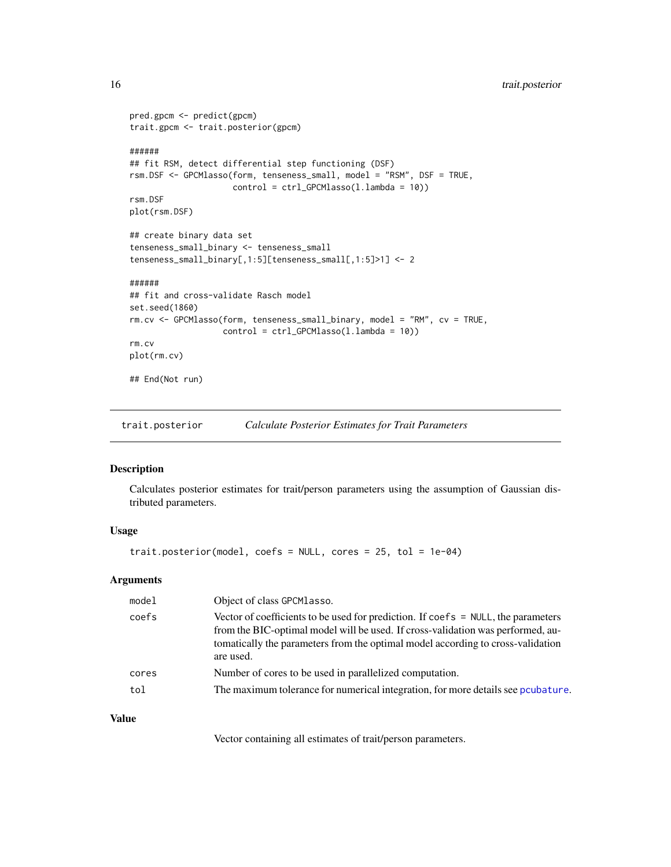```
pred.gpcm <- predict(gpcm)
trait.gpcm <- trait.posterior(gpcm)
######
## fit RSM, detect differential step functioning (DSF)
rsm.DSF <- GPCMlasso(form, tenseness_small, model = "RSM", DSF = TRUE,
                     control = ctrl_GPCMlasso(l.lambda = 10))
rsm.DSF
plot(rsm.DSF)
## create binary data set
tenseness_small_binary <- tenseness_small
tenseness_small_binary[,1:5][tenseness_small[,1:5]>1] <- 2
######
## fit and cross-validate Rasch model
set.seed(1860)
rm.cv <- GPCMlasso(form, tenseness_small_binary, model = "RM", cv = TRUE,
                   control = ctrl_GPCMlasso(l.lambda = 10))
rm.cv
plot(rm.cv)
## End(Not run)
```
<span id="page-15-1"></span>trait.posterior *Calculate Posterior Estimates for Trait Parameters*

# Description

Calculates posterior estimates for trait/person parameters using the assumption of Gaussian distributed parameters.

### Usage

```
trait.posterior(model, coefs = NULL, cores = 25, tol = 1e-04)
```
#### Arguments

| model | Object of class GPCM Lasso.                                                                                                                                                                                                                                                      |
|-------|----------------------------------------------------------------------------------------------------------------------------------------------------------------------------------------------------------------------------------------------------------------------------------|
| coefs | Vector of coefficients to be used for prediction. If $\text{coeffs} = \text{NULL}$ , the parameters<br>from the BIC-optimal model will be used. If cross-validation was performed, au-<br>to to the parameters from the optimal model according to cross-validation<br>are used. |
| cores | Number of cores to be used in parallelized computation.                                                                                                                                                                                                                          |
| tol   | The maximum tolerance for numerical integration, for more details see pcubature.                                                                                                                                                                                                 |

# Value

Vector containing all estimates of trait/person parameters.

<span id="page-15-0"></span>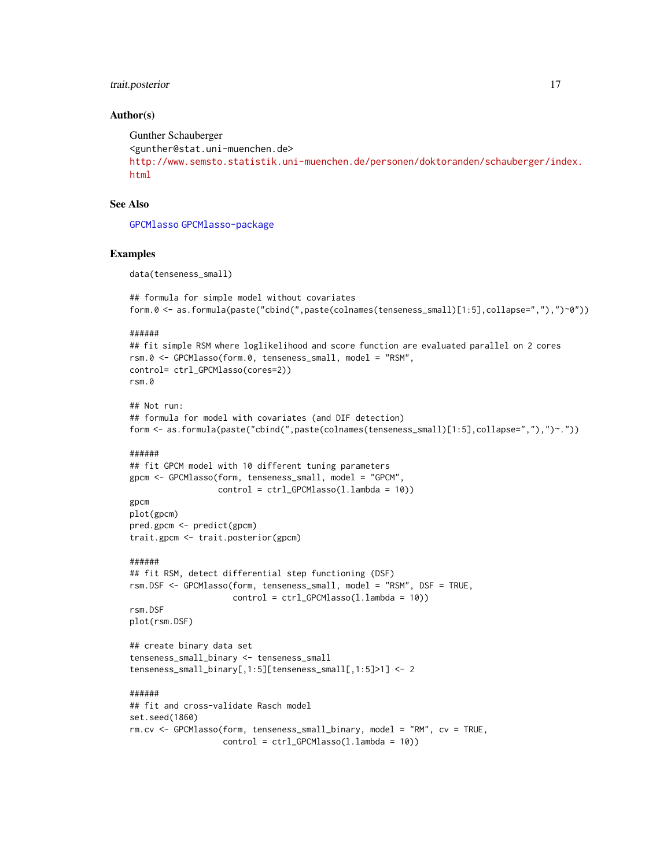# <span id="page-16-0"></span>trait.posterior 17

#### Author(s)

```
Gunther Schauberger
<gunther@stat.uni-muenchen.de>
http://www.semsto.statistik.uni-muenchen.de/personen/doktoranden/schauberger/index.
html
```
# See Also

[GPCMlasso](#page-4-1) [GPCMlasso-package](#page-1-1)

#### Examples

data(tenseness\_small)

```
## formula for simple model without covariates
form.0 <- as.formula(paste("cbind(",paste(colnames(tenseness_small)[1:5],collapse=","),")~0"))
```
#### ######

```
## fit simple RSM where loglikelihood and score function are evaluated parallel on 2 cores
rsm.0 <- GPCMlasso(form.0, tenseness_small, model = "RSM",
control= ctrl_GPCMlasso(cores=2))
rsm.0
```

```
## Not run:
## formula for model with covariates (and DIF detection)
form <- as.formula(paste("cbind(",paste(colnames(tenseness_small)[1:5],collapse=","),")~."))
```
#### ######

```
## fit GPCM model with 10 different tuning parameters
gpcm <- GPCMlasso(form, tenseness_small, model = "GPCM",
                  control = ctrl_GPCMlasso(l.lambda = 10))
```

```
gpcm
plot(gpcm)
pred.gpcm <- predict(gpcm)
trait.gpcm <- trait.posterior(gpcm)
```
#### ######

```
## fit RSM, detect differential step functioning (DSF)
rsm.DSF <- GPCMlasso(form, tenseness_small, model = "RSM", DSF = TRUE,
                      control = \text{ctrl_GPCMlasso}(1.lengthambda = 10))
rsm.DSF
```

```
plot(rsm.DSF)
```

```
## create binary data set
tenseness_small_binary <- tenseness_small
tenseness_small_binary[,1:5][tenseness_small[,1:5]>1] <- 2
```

```
## fit and cross-validate Rasch model
set.seed(1860)
rm.cv <- GPCMlasso(form, tenseness_small_binary, model = "RM", cv = TRUE,
                   control = ctrl_GPCMlasso(l.lambda = 10))
```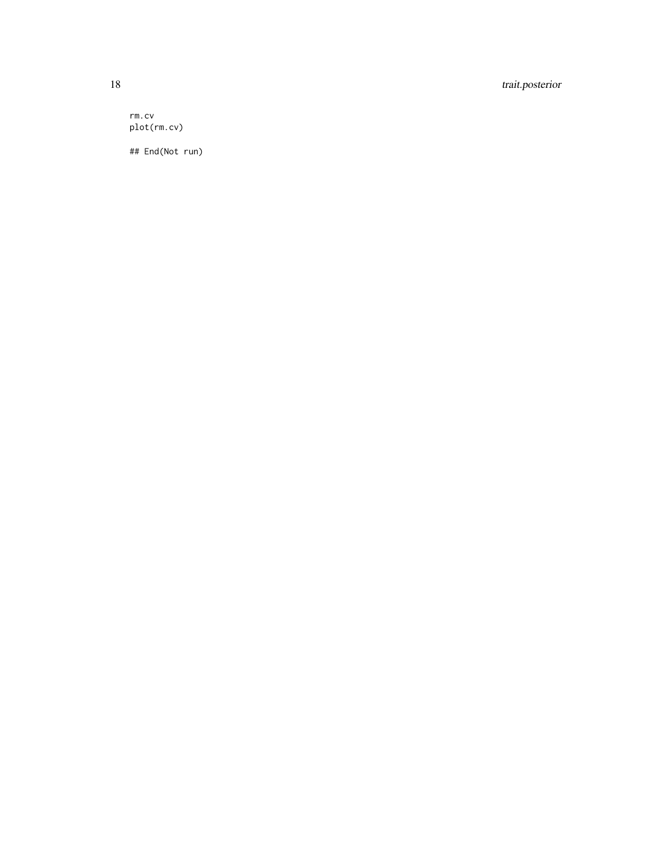18 trait.posterior

rm.cv plot(rm.cv)

## End(Not run)